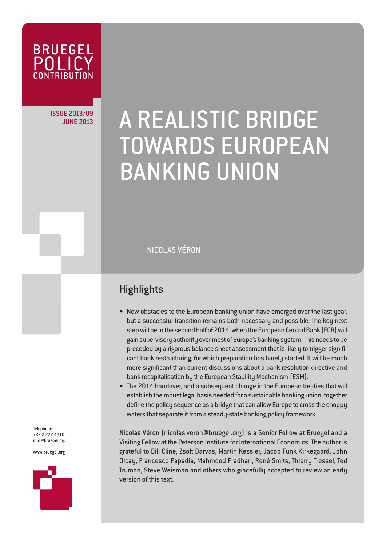

ISSUE 2013/09

# JUNE 2013/09 A REALISTIC BRIDGE TOWARDS EUROPEAN BANKING UNION

NICOLAS VÉRON

### **Highlights**

- New obstacles to the European banking union have emerged over the last year, but a successful transition remains both necessary and possible. The key next step will be in the second half of 2014, when the European Central Bank (ECB) will gain supervisory authority over most of Europe's banking system. This needs to be preceded by a rigorous balance sheet assessment that is likely to trigger significant bank restructuring, for which preparation has barely started. It will be much more significant than current discussions about a bank resolution directive and bank recapitalisation by the European Stability Mechanism (ESM).
- The 2014 handover, and a subsequent change in the European treaties that will establish the robust legal basis needed for a sustainable banking union, together define the policy sequence as a bridge that can allow Europe to cross the choppy waters that separate it from a steady-state banking policy framework.

Nicolas Véron (nicolas.veron@bruegel.org) is a Senior Fellow at Bruegel and a Visiting Fellow at the Peterson Institute for International Economics. The author is grateful to Bill Cline, Zsolt Darvas, Martin Kessler, Jacob Funk Kirkegaard, John Olcay, Francesco Papadia, Mahmood Pradhan, René Smits, Thierry Tressel, Ted Truman, Steve Weisman and others who gracefully accepted to review an early version of this text.

Telephone +32 2 227 4210 info@bruegel.org

www.bruegel.org

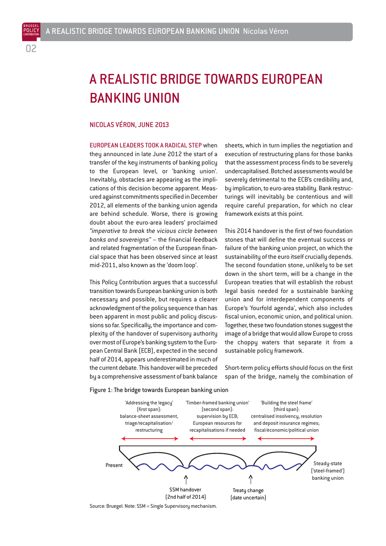BRUEGEL

## A REALISTIC BRIDGE TOWARDS EUROPEAN BANKING UNION

#### NICOLAS VÉRON, JUNE 2013

EUROPEAN LEADERS TOOK A RADICAL STEP when they announced in late June 2012 the start of a transfer of the key instruments of banking policy to the European level, or 'banking union'. Inevitably, obstacles are appearing as the implications of this decision become apparent. Measured against commitments specified in December 2012, all elements of the banking union agenda are behind schedule. Worse, there is growing doubt about the euro-area leaders' proclaimed *"imperative to break the vicious circle between banks and sovereigns"* – the financial feedback and related fragmentation of the European financial space that has been observed since at least mid-2011, also known as the 'doom loop'.

This Policy Contribution argues that a successful transition towards European banking union is both necessary and possible, but requires a clearer acknowledgment of the policy sequence than has been apparent in most public and policy discussions so far. Specifically, the importance and complexity of the handover of supervisory authority over most of Europe's banking system to the European Central Bank (ECB), expected in the second half of 2014, appears underestimated in much of the current debate. This handover will be preceded by a comprehensive assessment of bank balance

sheets, which in turn implies the negotiation and execution of restructuring plans for those banks that the assessment process finds to be severely undercapitalised. Botched assessments would be severely detrimental to the ECB's credibility and, by implication, to euro-area stability. Bank restructurings will inevitably be contentious and will require careful preparation, for which no clear framework exists at this point.

This 2014 handover is the first of two foundation stones that will define the eventual success or failure of the banking union project, on which the sustainability of the euro itself crucially depends. The second foundation stone, unlikely to be set down in the short term, will be a change in the European treaties that will establish the robust legal basis needed for a sustainable banking union and for interdependent components of Europe's 'fourfold agenda', which also includes fiscal union, economic union, and political union. Together, these two foundation stones suggest the image of a bridge that would allow Europe to cross the choppy waters that separate it from a sustainable policy framework.

Short-term policy efforts should focus on the first span of the bridge, namely the combination of



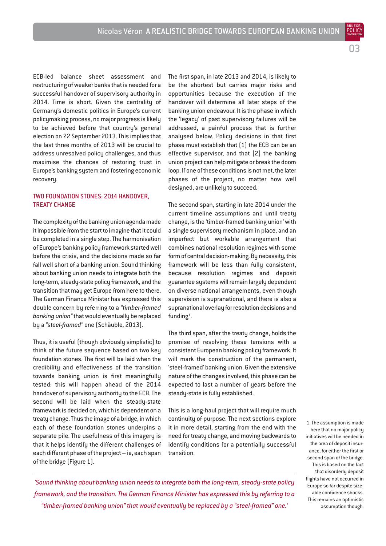ECB-led balance sheet assessment and restructuring of weaker banks that is needed for a successful handover of supervisory authority in 2014. Time is short. Given the centrality of Germany's domestic politics in Europe's current policymaking process, no major progress is likely to be achieved before that country's general election on 22 September 2013. This implies that the last three months of 2013 will be crucial to address unresolved policy challenges, and thus maximise the chances of restoring trust in Europe's banking system and fostering economic recovery.

#### TWO FOUNDATION STONES: 2014 HANDOVER, TREATY CHANGE

The complexity of the banking union agenda made it impossible from the start to imagine that it could be completed in a single step. The harmonisation of Europe's banking policy framework started well before the crisis, and the decisions made so far fall well short of a banking union. Sound thinking about banking union needs to integrate both the long-term, steady-state policy framework, and the transition that may get Europe from here to there. The German Finance Minister has expressed this double concern by referring to a *"timber-framed banking union"* that would eventually be replaced by a *"steel-framed"* one (Schäuble, 2013).

Thus, it is useful (though obviously simplistic) to think of the future sequence based on two key foundation stones. The first will be laid when the credibility and effectiveness of the transition towards banking union is first meaningfully tested: this will happen ahead of the 2014 handover of supervisory authority to the ECB. The second will be laid when the steady-state framework is decided on, which is dependent on a treaty change. Thus the image of a bridge, in which each of these foundation stones underpins a separate pile. The usefulness of this imagery is that it helps identify the different challenges of each different phase of the project – ie, each span of the bridge (Figure 1).

The first span, in late 2013 and 2014, is likely to be the shortest but carries major risks and opportunities because the execution of the handover will determine all later steps of the banking union endeavour. It is the phase in which the 'legacy' of past supervisory failures will be addressed, a painful process that is further analysed below. Policy decisions in that first phase must establish that (1) the ECB can be an effective supervisor, and that (2) the banking union project can help mitigate or break the doom loop. If one of these conditions is not met, the later phases of the project, no matter how well designed, are unlikely to succeed.

The second span, starting in late 2014 under the current timeline assumptions and until treaty change, is the 'timber-framed banking union' with a single supervisory mechanism in place, and an imperfect but workable arrangement that combines national resolution regimes with some form of central decision-making. By necessity, this framework will be less than fully consistent, because resolution regimes and deposit guarantee systems will remain largely dependent on diverse national arrangements, even though supervision is supranational, and there is also a supranational overlay for resolution decisions and funding<sup>1</sup>.

The third span, after the treaty change, holds the promise of resolving these tensions with a consistent European banking policy framework. It will mark the construction of the permanent, 'steel-framed' banking union. Given the extensive nature of the changes involved, this phase can be expected to last a number of years before the steady-state is fully established.

This is a long-haul project that will require much continuity of purpose. The next sections explore it in more detail, starting from the end with the need for treaty change, and moving backwards to identify conditions for a potentially successful transition.

1. The assumption is made here that no major policy initiatives will be needed in the area of deposit insurance, for either the first or second span of the bridge. This is based on the fact that disorderly deposit flights have not occurred in Europe so far despite sizeable confidence shocks. This remains an optimistic assumption though.

03

BRUEGEL

*'Sound thinking about banking union needs to integrate both the long-term, steady-state policy framework, and the transition. The German Finance Minister has expressed this by referring to a "timber-framed banking union" that would eventually be replaced by a "steel-framed" one.'*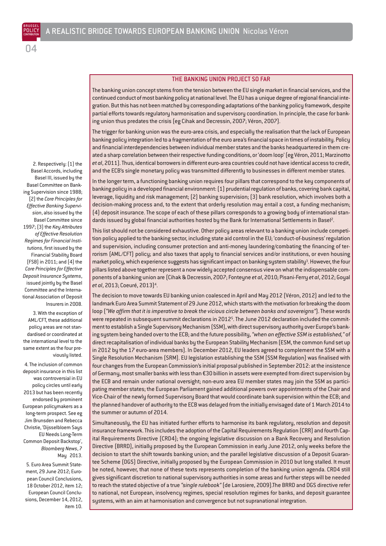2. Respectively: (1) the Basel Accords, including Basel III, issued by the Basel Committee on Banking Supervision since 1988; (2) the *Core Principles for Effective Banking Supervision*, also issued by the Basel Committee since 1997; (3) the *Key Attributes of Effective Resolution Regimes for Financial Institutions*, first issued by the Financial Stability Board (FSB) in 2011; and (4) the *Core Principles for Effective Deposit Insurance Systems*, issued jointly by the Basel Committee and the International Association of Deposit Insurers in 2008.

04

3. With the exception of AML/CFT, these additional policy areas are not standardised or coordinated at the international level to the same extent as the four previously listed.

4. The inclusion of common deposit insurance in this list was controversial in EU policy circles until early 2013 but has been recently endorsed by prominent European policymakers as a long-term prospect. See eg Jim Brunsden and Rebecca Christie, 'Dijsselbloem Says EU Needs Long-Term Common Deposit Backstop', *Bloomberg News*, 7 May 2013.

5. Euro Area Summit Statement, 29 June 2012; European Council Conclusions, 18 October 2012, item 12; European Council Conclusions, December 14, 2012, item 10.

#### THE BANKING UNION PROJECT SO FAR

The banking union concept stems from the tension between the EU single market in financial services, and the continued conduct of most banking policy at national level. The EU has a unique degree of regional financial integration. But this has not been matched by corresponding adaptations of the banking policy framework, despite partial efforts towards regulatory harmonisation and supervisory coordination. In principle, the case for banking union thus predates the crisis (eg Cihak and Decressin, 2007; Véron, 2007).

The trigger for banking union was the euro-area crisis, and especially the realisation that the lack of European banking policy integration led to a fragmentation of the euro area's financial space in times of instability. Policy and financial interdependencies between individual member states and the banks headquartered in them created a sharp correlation between their respective funding conditions, or 'doom loop' (eg Véron, 2011; Marzinotto *et al*, 2011). Thus, identical borrowers in different euro-area countries could not have identical access to credit, and the ECB's single monetary policy was transmitted differently to businesses in different member states.

In the longer term, a functioning banking union requires four pillars that correspond to the key components of banking policy in a developed financial environment: (1) prudential regulation of banks, covering bank capital, leverage, liquidity and risk management; (2) banking supervision; (3) bank resolution, which involves both a decision-making process and, to the extent that orderly resolution may entail a cost, a funding mechanism; (4) deposit insurance. The scope of each of these pillars corresponds to a growing body of international standards issued by global financial authorities hosted by the Bank for International Settlements in Basel<sup>2</sup>.

This list should not be considered exhaustive. Other policy areas relevant to a banking union include competition policy applied to the banking sector, including state aid control in the EU; 'conduct-of-business' regulation and supervision, including consumer protection and anti-money laundering/combating the financing of terrorism (AML/CFT) policy; and also taxes that apply to financial services and/or institutions, or even housing market policy, which experience suggests has significant impact on banking system stability<sup>3</sup>. However, the four pillars listed above together represent a now widely accepted consensus view on what the indispensable components of a banking union are (Cihak & Decressin, 2007; Fonteyne *et al*, 2010; Pisani-Ferry *et al*, 2012; Goyal *et al*, 2013; Coeuré, 2013)4.

The decision to move towards EU banking union coalesced in April and May 2012 (Véron, 2012) and led to the landmark Euro Area Summit Statement of 29 June 2012, which starts with the motivation for breaking the doom loop (*"We affirm that it is imperative to break the vicious circle between banks and sovereigns"*). These words were repeated in subsequent summit declarations in 20125. The June 2012 declaration included the commitment to establish a Single Supervisory Mechanism (SSM), with direct supervisory authority over Europe's banking system being handed over to the ECB; and the future possibility, *"when an effective SSM is established,"* of direct recapitalisation of individual banks by the European Stability Mechanism (ESM, the common fund set up in 2012 by the 17 euro-area members). In December 2012, EU leaders agreed to complement the SSM with a Single Resolution Mechanism (SRM). EU legislation establishing the SSM (SSM Regulation) was finalised with four changes from the European Commission's initial proposal published in September 2012: at the insistence of Germany, most smaller banks with less than €30 billion in assets were exempted from direct supervision by the ECB and remain under national oversight; non-euro area EU member states may join the SSM as participating member states; the European Parliament gained additional powers over appointments of the Chair and Vice-Chair of the newly formed Supervisory Board that would coordinate bank supervision within the ECB; and the planned handover of authority to the ECB was delayed from the initially envisaged date of 1 March 2014 to the summer or autumn of 2014.

Simultaneously, the EU has initiated further efforts to harmonise its bank regulatory, resolution and deposit insurance framework. This includes the adoption of the Capital Requirements Regulation (CRR) and fourth Capital Requirements Directive (CRD4); the ongoing legislative discussion on a Bank Recovery and Resolution Directive (BRRD), initially proposed by the European Commission in early June 2012, only weeks before the decision to start the shift towards banking union; and the parallel legislative discussion of a Deposit Guarantee Scheme (DGS) Directive, initially proposed by the European Commission in 2010 but long stalled. It must be noted, however, that none of these texts represents completion of the banking union agenda. CRD4 still gives significant discretion to national supervisory authorities in some areas and further steps will be needed to reach the stated objective of a true *"single rulebook"* (de Larosiere, 2009).The BRRD and DGS directive refer to national, not European, insolvency regimes, special resolution regimes for banks, and deposit guarantee systems, with an aim at harmonisation and convergence but not supranational integration.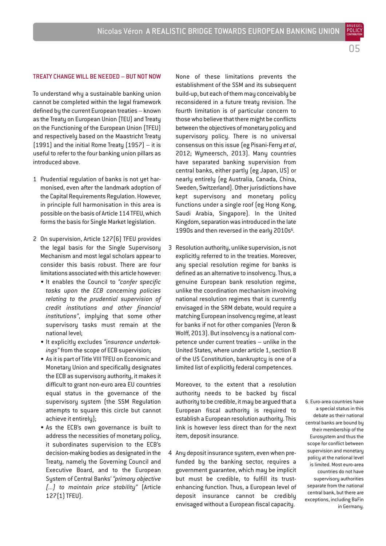POLIC

#### TREATY CHANGE WILL BE NEEDED – BUT NOT NOW

To understand why a sustainable banking union cannot be completed within the legal framework defined by the current European treaties – known as the Treaty on European Union (TEU) and Treaty on the Functioning of the European Union (TFEU) and respectively based on the Maastricht Treaty (1991) and the initial Rome Treaty (1957) – it is useful to refer to the four banking union pillars as introduced above.

- 1 Prudential regulation of banks is not yet harmonised, even after the landmark adoption of the Capital Requirements Regulation. However, in principle full harmonisation in this area is possible on the basis of Article 114 TFEU, which forms the basis for Single Market legislation.
- 2 On supervision, Article 127(6) TFEU provides the legal basis for the Single Supervisory Mechanism and most legal scholars appear to consider this basis robust. There are four limitations associated with this article however:
	- It enables the Council to *"confer specific tasks upon the ECB concerning policies relating to the prudential supervision of credit institutions and other financial institutions"*, implying that some other supervisory tasks must remain at the national level;
	- It explicitly excludes *"insurance undertakings"* from the scope of ECB supervision;
	- As it is part of Title VIII TFEU on Economic and Monetary Union and specifically designates the ECB as supervisory authority, it makes it difficult to grant non-euro area EU countries equal status in the governance of the supervisory system (the SSM Regulation attempts to square this circle but cannot achieve it entirely);
	- As the ECB's own governance is built to address the necessities of monetary policy, it subordinates supervision to the ECB's decision-making bodies as designated in the Treaty, namely the Governing Council and Executive Board, and to the European System of Central Banks' *"primary objective (...) to maintain price stability"* (Article 127(1) TFEU).

None of these limitations prevents the establishment of the SSM and its subsequent build-up, but each of them may conceivably be reconsidered in a future treaty revision. The fourth limitation is of particular concern to those who believe that there might be conflicts between the objectives of monetary policy and supervisory policy. There is no universal consensus on this issue (eg Pisani-Ferry *et al*, 2012; Wymeersch, 2013). Many countries have separated banking supervision from central banks, either partly (eg Japan, US) or nearly entirely (eg Australia, Canada, China, Sweden, Switzerland). Other jurisdictions have kept supervisory and monetary policy functions under a single roof (eg Hong Kong, Saudi Arabia, Singapore). In the United Kingdom, separation was introduced in the late 1990s and then reversed in the early 2010s<sup>6</sup>.

3 Resolution authority, unlike supervision, is not explicitly referred to in the treaties. Moreover, any special resolution regime for banks is defined as an alternative to insolvency. Thus, a genuine European bank resolution regime, unlike the coordination mechanism involving national resolution regimes that is currently envisaged in the SRM debate, would require a matching European insolvency regime, at least for banks if not for other companies (Veron & Wolff, 2013). But insolvency is a national competence under current treaties – unlike in the United States, where under article 1, section 8 of the US Constitution, bankruptcy is one of a limited list of explicitly federal competences.

Moreover, to the extent that a resolution authority needs to be backed by fiscal authority to be credible, it may be argued that a European fiscal authority is required to establish a European resolution authority. This link is however less direct than for the next item, deposit insurance.

4 Any deposit insurance system, even when prefunded by the banking sector, requires a government guarantee, which may be implicit but must be credible, to fulfill its trustenhancing function. Thus, a European level of deposit insurance cannot be credibly envisaged without a European fiscal capacity.

6. Euro-area countries have a special status in this debate as their national central banks are bound by their membership of the Eurosystem and thus the scope for conflict between supervision and monetary policy at the national level is limited. Most euro-area countries do not have supervisory authorities separate from the national central bank, but there are exceptions, including BaFin in Germany.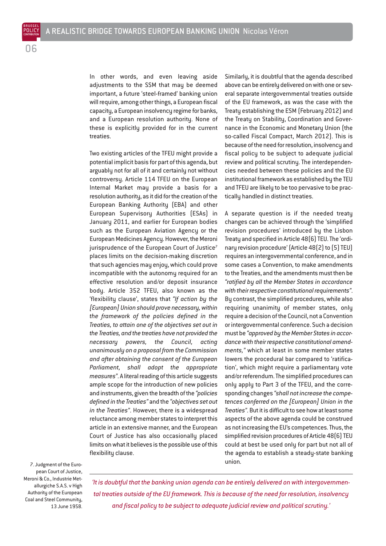**CONTRIBUTION** 06

POLICY

In other words, and even leaving aside adjustments to the SSM that may be deemed important, a future 'steel-framed' banking union will require, among other things, a European fiscal capacity, a European insolvency regime for banks, and a European resolution authority. None of these is explicitly provided for in the current treaties.

Two existing articles of the TFEU might provide a potential implicit basis for part of this agenda, but arguably not for all of it and certainly not without controversy. Article 114 TFEU on the European Internal Market may provide a basis for a resolution authority, as it did for the creation of the European Banking Authority (EBA) and other European Supervisory Authorities (ESAs) in January 2011, and earlier for European bodies such as the European Aviation Agency or the European Medicines Agency. However, the Meroni jurisprudence of the European Court of Justice<sup>7</sup> places limits on the decision-making discretion that such agencies may enjoy, which could prove incompatible with the autonomy required for an effective resolution and/or deposit insurance body. Article 352 TFEU, also known as the 'flexibility clause', states that *"If action by the [European] Union should prove necessary, within the framework of the policies defined in the Treaties, to attain one of the objectives set out in the Treaties, and the treaties have not provided the necessary powers, the Council, acting unanimously on a proposal from the Commission and after obtaining the consent of the European Parliament, shall adopt the appropriate measures"*. A literal reading of this article suggests ample scope for the introduction of new policies and instruments, given the breadth of the *"policies defined in the Treaties"* and the *"objectives set out in the Treaties"*. However, there is a widespread reluctance among member states to interpret this article in an extensive manner, and the European Court of Justice has also occasionally placed limits on what it believes is the possible use of this flexibility clause.

Similarly, it is doubtful that the agenda described above can be entirely delivered on with one or several separate intergovernmental treaties outside of the EU framework, as was the case with the Treaty establishing the ESM (February 2012) and the Treaty on Stability, Coordination and Governance in the Economic and Monetary Union (the so-called Fiscal Compact, March 2012). This is because of the need for resolution, insolvency and fiscal policy to be subject to adequate judicial review and political scrutiny. The interdependencies needed between these policies and the EU institutional framework as established by the TEU and TFEU are likely to be too pervasive to be practically handled in distinct treaties.

A separate question is if the needed treaty changes can be achieved through the 'simplified revision procedures' introduced by the Lisbon Treaty and specified in Article 48(6) TEU. The 'ordinary revision procedure' (Article 48(2) to (5) TEU) requires an intergovernmental conference, and in some cases a Convention, to make amendments to the Treaties, and the amendments must then be *"ratified by all the Member States in accordance with their respective constitutional requirements"*. By contrast, the simplified procedures, while also requiring unanimity of member states, only require a decision of the Council, not a Convention or intergovernmental conference. Such a decision must be *"approved by the Member States in accordance with their respective constitutional amendments,"* which at least in some member states lowers the procedural bar compared to 'ratification', which might require a parliamentary vote and/or referendum. The simplified procedures can only apply to Part 3 of the TFEU, and the corresponding changes *"shall not increase the competences conferred on the [European] Union in the Treaties"*. But it is difficult to see how at least some aspects of the above agenda could be construed as not increasing the EU's competences. Thus, the simplified revision procedures of Article 48(6) TEU could at best be used only for part but not all of the agenda to establish a steady-state banking union.

7. Judgment of the European Court of Justice, Meroni & Co., Industrie Metallurgiche S.A.S. v High Authority of the European Coal and Steel Community, 13 June 1958.

*'It is doubtful that the banking union agenda can be entirely delivered on with intergovernmental treaties outside of the EU framework. This is because of the need for resolution, insolvency and fiscal policy to be subject to adequate judicial review and political scrutiny.'*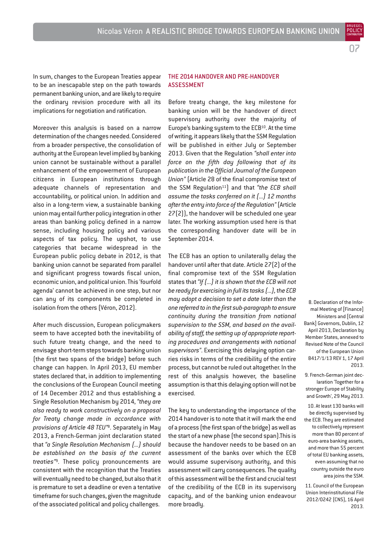In sum, changes to the European Treaties appear to be an inescapable step on the path towards permanent banking union, and are likely to require the ordinary revision procedure with all its implications for negotiation and ratification.

Moreover this analysis is based on a narrow determination of the changes needed. Considered from a broader perspective, the consolidation of authority at the European level implied by banking union cannot be sustainable without a parallel enhancement of the empowerment of European citizens in European institutions through adequate channels of representation and accountability, or political union. In addition and also in a long-term view, a sustainable banking union may entail further policy integration in other areas than banking policy defined in a narrow sense, including housing policy and various aspects of tax policy. The upshot, to use categories that became widespread in the European public policy debate in 2012, is that banking union cannot be separated from parallel and significant progress towards fiscal union, economic union, and political union. This 'fourfold agenda' cannot be achieved in one step, but nor can any of its components be completed in isolation from the others (Véron, 2012).

After much discussion, European policymakers seem to have accepted both the inevitability of such future treaty change, and the need to envisage short-term steps towards banking union (the first two spans of the bridge) before such change can happen. In April 2013, EU member states declared that, in addition to implementing the conclusions of the European Council meeting of 14 December 2012 and thus establishing a Single Resolution Mechanism by 2014, *"they are also ready to work constructively on a proposal for Treaty change made in accordance with provisions of Article 48 TEU"*8. Separately in May 2013, a French-German joint declaration stated that *"a Single Resolution Mechanism (...) should be established on the basis of the current treaties"*9. These policy pronouncements are consistent with the recognition that the Treaties will eventually need to be changed, but also that it is premature to set a deadline or even a tentative timeframe for such changes, given the magnitude of the associated political and policy challenges.

#### THE 2014 HANDOVER AND PRE-HANDOVER ASSESSMENT

Before treaty change, the key milestone for banking union will be the handover of direct supervisory authority over the majority of Europe's banking system to the ECB<sup>10</sup>. At the time of writing, it appears likely that the SSM Regulation will be published in either July or September 2013. Given that the Regulation *"shall enter into force on the fifth day following that of its publication in the Official Journal of the European Union"* (Article 28 of the final compromise text of the SSM Regulation11) and that *"the ECB shall assume the tasks conferred on it (...) 12 months after the entry into force of the Regulation"*(Article 27(2)), the handover will be scheduled one year later. The working assumption used here is that the corresponding handover date will be in September 2014.

The ECB has an option to unilaterally delay the handover until after that date. Article 27(2) of the final compromise text of the SSM Regulation states that *"If (...) it is shown that the ECB will not be ready for exercising in full its tasks (...), the ECB may adopt a decision to set a date later than the one referred to in the first sub-paragraph to ensure continuity during the transition from national supervision to the SSM, and based on the availability of staff, the setting up of appropriate reporting procedures and arrangements with national supervisors"*. Exercising this delaying option carries risks in terms of the credibility of the entire process, but cannot be ruled out altogether. In the rest of this analysis however, the baseline assumption is that this delaying option will not be exercised.

The key to understanding the importance of the 2014 handover is to note that it will mark the end of a process (the first span of the bridge) as well as the start of a new phase (the second span).This is because the handover needs to be based on an assessment of the banks over which the ECB would assume supervisory authority, and this assessment will carry consequences. The quality of this assessment will be the first and crucial test of the credibility of the ECB in its supervisory capacity, and of the banking union endeavour more broadly.

8. Declaration of the Informal Meeting of [Finance] Ministers and [Central Bank] Governors, Dublin, 12 April 2013, Declaration by Member States, annexed to Revised Note of the Council of the European Union 8417/1/13 REV 1, 17 April 2013.

9. French-German joint declaration 'Together for a stronger Europe of Stability and Growth', 29 May 2013.

10. At least 130 banks will be directly supervised by the ECB. They are estimated to collectively represent more than 80 percent of euro-area banking assets, and more than 55 percent of total EU banking assets, even assuming that no country outside the euro area joins the SSM.

11. Council of the European Union Interinstitutional File 2012/0242 (CNS), 16 April 2013.

07 POLIC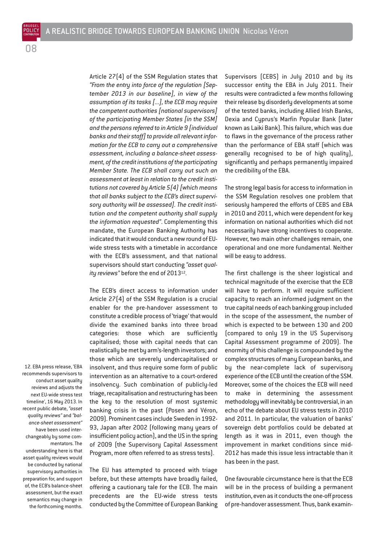BRUEGEL POLICY

> Article 27(4) of the SSM Regulation states that *"From the entry into force of the regulation [September 2013 in our baseline], in view of the assumption of its tasks [...], the ECB may require the competent authorities [national supervisors] of the participating Member States [in the SSM] and the persons referred to in Article 9 [individual banks and their staff] to provide all relevant information for the ECB to carry out a comprehensive assessment, including a balance-sheet assessment, of the credit institutions of the participating Member State. The ECB shall carry out such an assessment at least in relation to the credit institutions not covered by Article 5(4) [which means that all banks subject to the ECB's direct supervisory authority will be assessed]. The credit institution and the competent authority shall supply the information requested"*. Complementing this mandate, the European Banking Authority has indicated that it would conduct a new round of EUwide stress tests with a timetable in accordance with the ECB's assessment, and that national supervisors should start conducting *"asset quality reviews"* before the end of 2013<sup>12</sup>.

> The ECB's direct access to information under Article 27(4) of the SSM Regulation is a crucial enabler for the pre-handover assessment to constitute a credible process of 'triage' that would divide the examined banks into three broad categories: those which are sufficiently capitalised; those with capital needs that can realistically be met by arm's-length investors; and those which are severely undercapitalised or insolvent, and thus require some form of public intervention as an alternative to a court-ordered insolvency. Such combination of publicly-led triage, recapitalisation and restructuring has been the key to the resolution of most systemic banking crisis in the past (Posen and Véron, 2009). Prominent cases include Sweden in 1992- 93, Japan after 2002 (following many years of insufficient policy action), and the US in the spring of 2009 (the Supervisory Capital Assessment Program, more often referred to as stress tests).

> The EU has attempted to proceed with triage before, but these attempts have broadly failed, offering a cautionary tale for the ECB. The main precedents are the EU-wide stress tests conducted by the Committee of European Banking

Supervisors (CEBS) in July 2010 and by its successor entity the EBA in July 2011. Their results were contradicted a few months following their release by disorderly developments at some of the tested banks, including Allied Irish Banks, Dexia and Cyprus's Marfin Popular Bank (later known as Laiki Bank). This failure, which was due to flaws in the governance of the process rather than the performance of EBA staff (which was generally recognised to be of high quality), significantly and perhaps permanently impaired the credibility of the EBA.

The strong legal basis for access to information in the SSM Regulation resolves one problem that seriously hampered the efforts of CEBS and EBA in 2010 and 2011, which were dependent for key information on national authorities which did not necessarily have strong incentives to cooperate. However, two main other challenges remain, one operational and one more fundamental. Neither will be easy to address.

The first challenge is the sheer logistical and technical magnitude of the exercise that the ECB will have to perform. It will require sufficient capacity to reach an informed judgment on the true capital needs of each banking group included in the scope of the assessment, the number of which is expected to be between 130 and 200 (compared to only 19 in the US Supervisory Capital Assessment programme of 2009). The enormity of this challenge is compounded by the complex structures of many European banks, and by the near-complete lack of supervisory experience of the ECB until the creation of the SSM. Moreover, some of the choices the ECB will need to make in determining the assessment methodology will inevitably be controversial, in an echo of the debate about EU stress tests in 2010 and 2011. In particular, the valuation of banks' sovereign debt portfolios could be debated at length as it was in 2011, even though the improvement in market conditions since mid-2012 has made this issue less intractable than it has been in the past.

One favourable circumstance here is that the ECB will be in the process of building a permanent institution, even as it conducts the one-off process of pre-handover assessment. Thus, bank examin-

recommends supervisors to conduct asset quality reviews and adjusts the next EU-wide stress test timeline', 16 May 2013. In recent public debate, *"asset quality reviews"* and *"balance-sheet assessment"* have been used interchangeably by some commentators. The understanding here is that asset quality reviews would be conducted by national supervisory authorities in preparation for, and support of, the ECB's balance-sheet assessment, but the exact semantics may change in the forthcoming months.

12. EBA press release, 'EBA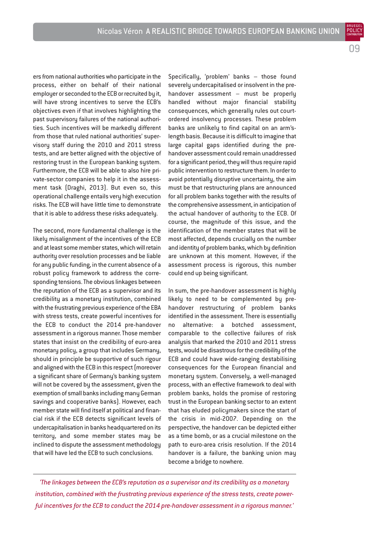na

POLIC

ers from national authorities who participate in the process, either on behalf of their national employer or seconded to the ECB or recruited by it, will have strong incentives to serve the ECB's objectives even if that involves highlighting the past supervisory failures of the national authorities. Such incentives will be markedly different from those that ruled national authorities' supervisory staff during the 2010 and 2011 stress tests, and are better aligned with the objective of restoring trust in the European banking system. Furthermore, the ECB will be able to also hire private-sector companies to help it in the assessment task (Draghi, 2013). But even so, this operational challenge entails very high execution risks. The ECB will have little time to demonstrate that it is able to address these risks adequately.

The second, more fundamental challenge is the likely misalignment of the incentives of the ECB and at least some member states, which will retain authority over resolution processes and be liable for any public funding, in the current absence of a robust policy framework to address the corresponding tensions. The obvious linkages between the reputation of the ECB as a supervisor and its credibility as a monetary institution, combined with the frustrating previous experience of the EBA with stress tests, create powerful incentives for the ECB to conduct the 2014 pre-handover assessment in a rigorous manner. Those member states that insist on the credibility of euro-area monetary policy, a group that includes Germany, should in principle be supportive of such rigour and aligned with the ECB in this respect (moreover a significant share of Germany's banking system will not be covered by the assessment, given the exemption of small banks including many German savings and cooperative banks). However, each member state will find itself at political and financial risk if the ECB detects significant levels of undercapitalisation in banks headquartered on its territory, and some member states may be inclined to dispute the assessment methodology that will have led the ECB to such conclusions.

Specifically, 'problem' banks – those found severely undercapitalised or insolvent in the prehandover assessment – must be properly handled without major financial stability consequences, which generally rules out courtordered insolvency processes. These problem banks are unlikely to find capital on an arm'slength basis. Because it is difficult to imagine that large capital gaps identified during the prehandover assessment could remain unaddressed for a significant period, they will thus require rapid public intervention to restructure them. In order to avoid potentially disruptive uncertainty, the aim must be that restructuring plans are announced for all problem banks together with the results of the comprehensive assessment, in anticipation of the actual handover of authority to the ECB. Of course, the magnitude of this issue, and the identification of the member states that will be most affected, depends crucially on the number and identity of problem banks, which by definition are unknown at this moment. However, if the assessment process is rigorous, this number could end up being significant.

In sum, the pre-handover assessment is highly likely to need to be complemented by prehandover restructuring of problem banks identified in the assessment. There is essentially no alternative: a botched assessment, comparable to the collective failures of risk analysis that marked the 2010 and 2011 stress tests, would be disastrous for the credibility of the ECB and could have wide-ranging destabilising consequences for the European financial and monetary system. Conversely, a well-managed process, with an effective framework to deal with problem banks, holds the promise of restoring trust in the European banking sector to an extent that has eluded policymakers since the start of the crisis in mid-2007. Depending on the perspective, the handover can be depicted either as a time bomb, or as a crucial milestone on the path to euro-area crisis resolution. If the 2014 handover is a failure, the banking union may become a bridge to nowhere.

*'The linkages between the ECB's reputation as a supervisor and its credibility as a monetary institution, combined with the frustrating previous experience of the stress tests, create powerful incentives for the ECB to conduct the 2014 pre-handover assessment in a rigorous manner.'*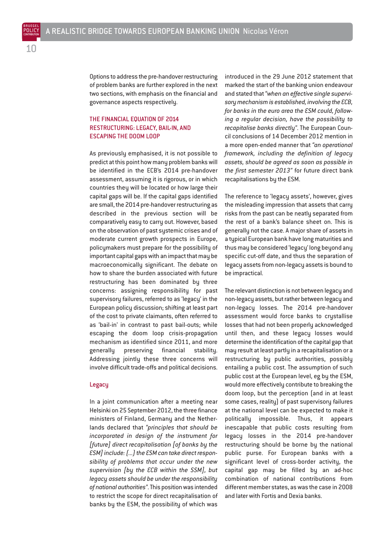Options to address the pre-handover restructuring of problem banks are further explored in the next two sections, with emphasis on the financial and governance aspects respectively.

#### THE FINANCIAL EQUATION OF 2014 RESTRUCTURING: LEGACY, BAIL-IN, AND ESCAPING THE DOOM LOOP

As previously emphasised, it is not possible to predict at this point how many problem banks will be identified in the ECB's 2014 pre-handover assessment, assuming it is rigorous, or in which countries they will be located or how large their capital gaps will be. If the capital gaps identified are small, the 2014 pre-handover restructuring as described in the previous section will be comparatively easy to carry out. However, based on the observation of past systemic crises and of moderate current growth prospects in Europe, policymakers must prepare for the possibility of important capital gaps with an impact that may be macroeconomically significant. The debate on how to share the burden associated with future restructuring has been dominated by three concerns: assigning responsibility for past supervisory failures, referred to as 'legacy' in the European policy discussion; shifting at least part of the cost to private claimants, often referred to as 'bail-in' in contrast to past bail-outs; while escaping the doom loop crisis-propagation mechanism as identified since 2011, and more generally preserving financial stability. Addressing jointly these three concerns will involve difficult trade-offs and political decisions.

#### Legacy

In a joint communication after a meeting near Helsinki on 25 September 2012, the three finance ministers of Finland, Germany and the Netherlands declared that *"principles that should be incorporated in design of the instrument for [future] direct recapitalisation [of banks by the ESM] include: (...) the ESM can take direct responsibility of problems that occur under the new supervision [by the ECB within the SSM], but legacy assets should be under the responsibility of national authorities"*. This position was intended to restrict the scope for direct recapitalisation of banks by the ESM, the possibility of which was

introduced in the 29 June 2012 statement that marked the start of the banking union endeavour and stated that *"when an effective single supervisory mechanism is established, involving the ECB, for banks in the euro area the ESM could, following a regular decision, have the possibility to recapitalise banks directly"*. The European Council conclusions of 14 December 2012 mention in a more open-ended manner that *"an operational framework, including the definition of legacy assets, should be agreed as soon as possible in the first semester 2013"* for future direct bank recapitalisations by the ESM.

The reference to 'legacy assets', however, gives the misleading impression that assets that carry risks from the past can be neatly separated from the rest of a bank's balance sheet on. This is generally not the case. A major share of assets in a typical European bank have long maturities and thus may be considered 'legacy' long beyond any specific cut-off date, and thus the separation of legacy assets from non-legacy assets is bound to be impractical.

The relevant distinction is not between legacy and non-legacy assets, but rather between legacy and non-legacy losses. The 2014 pre-handover assessment would force banks to crystallise losses that had not been properly acknowledged until then, and these legacy losses would determine the identification of the capital gap that may result at least partly in a recapitalisation or a restructuring by public authorities, possibly entailing a public cost. The assumption of such public cost at the European level, eg by the ESM, would more effectively contribute to breaking the doom loop, but the perception (and in at least some cases, reality) of past supervisory failures at the national level can be expected to make it politically impossible. Thus, it appears inescapable that public costs resulting from legacy losses in the 2014 pre-handover restructuring should be borne by the national public purse. For European banks with a significant level of cross-border activity, the capital gap may be filled by an ad-hoc combination of national contributions from different member states, as was the case in 2008 and later with Fortis and Dexia banks.

BRUEGEL POLICY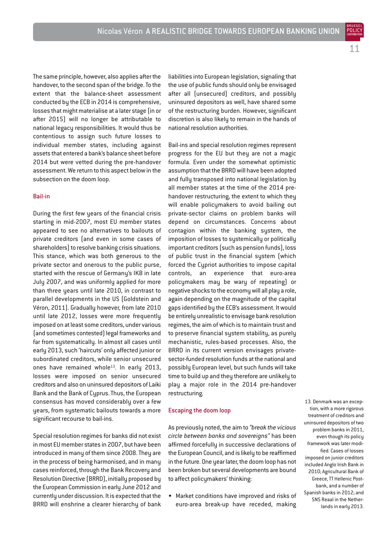11

BRUEGEL

The same principle, however, also applies after the handover, to the second span of the bridge. To the extent that the balance-sheet assessment conducted by the ECB in 2014 is comprehensive, losses that might materialise at a later stage (in or after 2015) will no longer be attributable to national legacy responsibilities. It would thus be contentious to assign such future losses to individual member states, including against assets that entered a bank's balance sheet before 2014 but were vetted during the pre-handover assessment. We return to this aspect below in the subsection on the doom loop.

#### Bail-in

During the first few years of the financial crisis starting in mid-2007, most EU member states appeared to see no alternatives to bailouts of private creditors (and even in some cases of shareholders) to resolve banking crisis situations. This stance, which was both generous to the private sector and onerous to the public purse, started with the rescue of Germany's IKB in late July 2007, and was uniformly applied for more than three years until late 2010, in contrast to parallel developments in the US (Goldstein and Véron, 2011). Gradually however, from late 2010 until late 2012, losses were more frequently imposed on at least some creditors, under various (and sometimes contested) legal frameworks and far from systematically. In almost all cases until early 2013, such 'haircuts' only affected junior or subordinated creditors, while senior unsecured ones have remained whole<sup>13</sup>. In early 2013, losses were imposed on senior unsecured creditors and also on uninsured depositors of Laiki Bank and the Bank of Cyprus. Thus, the European consensus has moved considerably over a few years, from systematic bailouts towards a more significant recourse to bail-ins.

Special resolution regimes for banks did not exist in most EU member states in 2007, but have been introduced in many of them since 2008. They are in the process of being harmonised, and in many cases reinforced, through the Bank Recovery and Resolution Directive (BRRD), initially proposed by the European Commission in early June 2012 and currently under discussion. It is expected that the BRRD will enshrine a clearer hierarchy of bank liabilities into European legislation, signaling that the use of public funds should only be envisaged after all (unsecured) creditors, and possibly uninsured depositors as well, have shared some of the restructuring burden. However, significant discretion is also likely to remain in the hands of national resolution authorities.

Bail-ins and special resolution regimes represent progress for the EU but they are not a magic formula. Even under the somewhat optimistic assumption that the BRRD will have been adopted and fully transposed into national legislation by all member states at the time of the 2014 prehandover restructuring, the extent to which they will enable policymakers to avoid bailing out private-sector claims on problem banks will depend on circumstances. Concerns about contagion within the banking system, the imposition of losses to systemically or politically important creditors (such as pension funds), loss of public trust in the financial system (which forced the Cypriot authorities to impose capital controls, an experience that euro-area policymakers may be wary of repeating) or negative shocks to the economy will all play a role, again depending on the magnitude of the capital gaps identified by the ECB's assessment. It would be entirely unrealistic to envisage bank resolution regimes, the aim of which is to maintain trust and to preserve financial system stability, as purely mechanistic, rules-based processes. Also, the BRRD in its current version envisages privatesector-funded resolution funds at the national and possibly European level, but such funds will take time to build up and they therefore are unlikely to play a major role in the 2014 pre-handover restructuring.

#### Escaping the doom loop

As previously noted, the aim to *"break the vicious circle between banks and sovereigns"* has been affirmed forcefully in successive declarations of the European Council, and is likely to be reaffirmed in the future. One year later, the doom loop has not been broken but several developments are bound to affect policymakers' thinking:

• Market conditions have improved and risks of euro-area break-up have receded, making

13. Denmark was an exception, with a more rigorous treatment of creditors and uninsured depositors of two problem banks in 2011, even though its policy framework was later modified. Cases of losses imposed on junior creditors included Anglo Irish Bank in 2010; Agricultural Bank of Greece, TT Hellenic Postbank, and a number of Spanish banks in 2012; and SNS Reaal in the Netherlands in early 2013.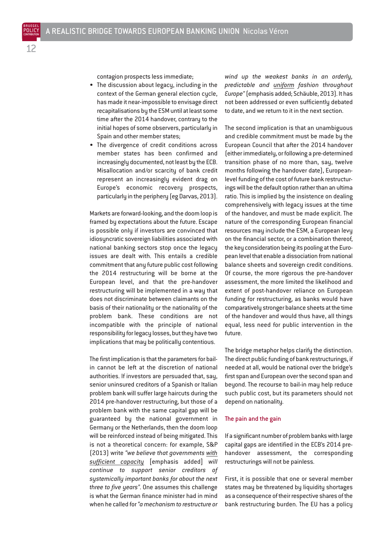contagion prospects less immediate;

- The discussion about legacy, including in the context of the German general election cycle, has made it near-impossible to envisage direct recapitalisations by the ESM until at least some time after the 2014 handover, contrary to the initial hopes of some observers, particularly in Spain and other member states;
- The divergence of credit conditions across member states has been confirmed and increasingly documented, not least by the ECB. Misallocation and/or scarcity of bank credit represent an increasingly evident drag on Europe's economic recovery prospects, particularly in the periphery (eg Darvas, 2013).

Markets are forward-looking, and the doom loop is framed by expectations about the future. Escape is possible only if investors are convinced that idiosyncratic sovereign liabilities associated with national banking sectors stop once the legacy issues are dealt with. This entails a credible commitment that any future public cost following the 2014 restructuring will be borne at the European level, and that the pre-handover restructuring will be implemented in a way that does not discriminate between claimants on the basis of their nationality or the nationality of the problem bank. These conditions are not incompatible with the principle of national responsibility for legacy losses, but they have two implications that may be politically contentious.

The first implication is that the parameters for bailin cannot be left at the discretion of national authorities. If investors are persuaded that, say, senior uninsured creditors of a Spanish or Italian problem bank will suffer large haircuts during the 2014 pre-handover restructuring, but those of a problem bank with the same capital gap will be guaranteed by the national government in Germany or the Netherlands, then the doom loop will be reinforced instead of being mitigated. This is not a theoretical concern: for example, S&P (2013) write *"we believe that governments with sufficient capacity* [emphasis added] *will continue to support senior creditors of systemically important banks for about the next three to five years"*. One assumes this challenge is what the German finance minister had in mind when he called for *"a mechanism to restructure or* *wind up the weakest banks in an orderly, predictable and uniform fashion throughout Europe"*(emphasis added; Schäuble, 2013). It has not been addressed or even sufficiently debated to date, and we return to it in the next section.

The second implication is that an unambiguous and credible commitment must be made by the European Council that after the 2014 handover (either immediately, or following a pre-determined transition phase of no more than, say, twelve months following the handover date), Europeanlevel funding of the cost of future bank restructurings will be the default option rather than an ultima ratio. This is implied by the insistence on dealing comprehensively with legacy issues at the time of the handover, and must be made explicit. The nature of the corresponding European financial resources may include the ESM, a European levy on the financial sector, or a combination thereof, the key consideration being its pooling at the European level that enable a dissociation from national balance sheets and sovereign credit conditions. Of course, the more rigorous the pre-handover assessment, the more limited the likelihood and extent of post-handover reliance on European funding for restructuring, as banks would have comparatively stronger balance sheets at the time of the handover and would thus have, all things equal, less need for public intervention in the future.

The bridge metaphor helps clarify the distinction. The direct public funding of bank restructurings, if needed at all, would be national over the bridge's first span and European over the second span and beyond. The recourse to bail-in may help reduce such public cost, but its parameters should not depend on nationality.

#### The pain and the gain

If a significant number of problem banks with large capital gaps are identified in the ECB's 2014 prehandover assessment, the corresponding restructurings will not be painless.

First, it is possible that one or several member states may be threatened by liquidity shortages as a consequence of their respective shares of the bank restructuring burden. The EU has a policy

BRUEGEL POLICY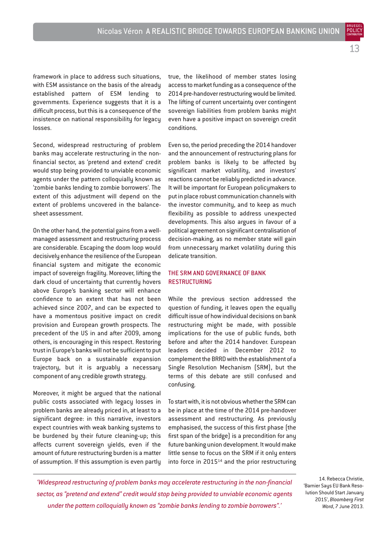POLIC

framework in place to address such situations, with ESM assistance on the basis of the already established pattern of ESM lending to governments. Experience suggests that it is a difficult process, but this is a consequence of the insistence on national responsibility for legacy losses.

Second, widespread restructuring of problem banks may accelerate restructuring in the nonfinancial sector, as 'pretend and extend' credit would stop being provided to unviable economic agents under the pattern colloquially known as 'zombie banks lending to zombie borrowers'. The extent of this adjustment will depend on the extent of problems uncovered in the balancesheet assessment.

On the other hand, the potential gains from a wellmanaged assessment and restructuring process are considerable. Escaping the doom loop would decisively enhance the resilience of the European financial system and mitigate the economic impact of sovereign fragility. Moreover, lifting the dark cloud of uncertainty that currently hovers above Europe's banking sector will enhance confidence to an extent that has not been achieved since 2007, and can be expected to have a momentous positive impact on credit provision and European growth prospects. The precedent of the US in and after 2009, among others, is encouraging in this respect. Restoring trust in Europe's banks will not be sufficient to put Europe back on a sustainable expansion trajectory, but it is arguably a necessary component of any credible growth strategy.

Moreover, it might be argued that the national public costs associated with legacy losses in problem banks are already priced in, at least to a significant degree: in this narrative, investors expect countries with weak banking systems to be burdened by their future cleaning-up; this affects current sovereign yields, even if the amount of future restructuring burden is a matter of assumption. If this assumption is even partly true, the likelihood of member states losing access to market funding as a consequence of the 2014 pre-handover restructuring would be limited. The lifting of current uncertainty over contingent sovereign liabilities from problem banks might even have a positive impact on sovereign credit conditions.

Even so, the period preceding the 2014 handover and the announcement of restructuring plans for problem banks is likely to be affected by significant market volatility, and investors' reactions cannot be reliably predicted in advance. It will be important for European policymakers to put in place robust communication channels with the investor community, and to keep as much flexibility as possible to address unexpected developments. This also argues in favour of a political agreement on significant centralisation of decision-making, as no member state will gain from unnecessary market volatility during this delicate transition.

#### THE SRM AND GOVERNANCE OF BANK RESTRUCTURING

While the previous section addressed the question of funding, it leaves open the equally difficult issue of how individual decisions on bank restructuring might be made, with possible implications for the use of public funds, both before and after the 2014 handover. European leaders decided in December 2012 to complement the BRRD with the establishment of a Single Resolution Mechanism (SRM), but the terms of this debate are still confused and confusing.

To start with, it is not obvious whether the SRM can be in place at the time of the 2014 pre-handover assessment and restructuring. As previously emphasised, the success of this first phase (the first span of the bridge) is a precondition for any future banking union development. It would make little sense to focus on the SRM if it only enters into force in 2015<sup>14</sup> and the prior restructuring

*'Widespread restructuring of problem banks may accelerate restructuring in the non-financial sector, as "pretend and extend" credit would stop being provided to unviable economic agents under the pattern colloquially known as "zombie banks lending to zombie borrowers".'*

14. Rebecca Christie, 'Barnier Says EU Bank Resolution Should Start January 2015', *Bloomberg First Word*, 7 June 2013.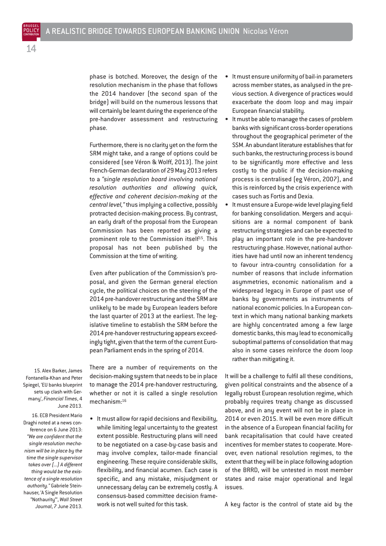phase is botched. Moreover, the design of the resolution mechanism in the phase that follows the 2014 handover (the second span of the bridge) will build on the numerous lessons that will certainly be learnt during the experience of the pre-handover assessment and restructuring phase.

Furthermore, there is no clarity yet on the form the SRM might take, and a range of options could be considered (see Véron & Wolff, 2013). The joint French-German declaration of 29 May 2013 refers to a *"single resolution board involving national resolution authorities and allowing quick, effective and coherent decision-making at the central level,"* thus implying a collective, possibly protracted decision-making process. By contrast, an early draft of the proposal from the European Commission has been reported as giving a prominent role to the Commission itself<sup>15</sup>. This proposal has not been published by the Commission at the time of writing.

Even after publication of the Commission's proposal, and given the German general election cycle, the political choices on the steering of the 2014 pre-handover restructuring and the SRM are unlikely to be made by European leaders before the last quarter of 2013 at the earliest. The legislative timeline to establish the SRM before the 2014 pre-handover restructuring appears exceedingly tight, given that the term of the current European Parliament ends in the spring of 2014.

There are a number of requirements on the decision-making system that needs to be in place to manage the 2014 pre-handover restructuring, whether or not it is called a single resolution mechanism: 16

• It must allow for rapid decisions and flexibility, while limiting legal uncertainty to the greatest extent possible. Restructuring plans will need to be negotiated on a case-by-case basis and may involve complex, tailor-made financial engineering. These require considerable skills, flexibility, and financial acumen. Each case is specific, and any mistake, misjudgment or unnecessary delay can be extremely costly. A consensus-based committee decision framework is not well suited for this task.

It must ensure uniformity of bail-in parameters across member states, as analysed in the previous section. A divergence of practices would exacerbate the doom loop and may impair European financial stability.

- It must be able to manage the cases of problem banks with significant cross-border operations throughout the geographical perimeter of the SSM. An abundant literature establishes that for such banks, the restructuring process is bound to be significantly more effective and less costly to the public if the decision-making process is centralised (eg Véron, 2007), and this is reinforced by the crisis experience with cases such as Fortis and Dexia.
- It must ensure a Europe-wide level playing field for banking consolidation. Mergers and acquisitions are a normal component of bank restructuring strategies and can be expected to play an important role in the pre-handover restructuring phase. However, national authorities have had until now an inherent tendency to favour intra-country consolidation for a number of reasons that include information asummetries, economic nationalism and a widespread legacy in Europe of past use of banks by governments as instruments of national economic policies. In a European context in which many national banking markets are highly concentrated among a few large domestic banks, this may lead to economically suboptimal patterns of consolidation that may also in some cases reinforce the doom loop rather than mitigating it.

It will be a challenge to fulfil all these conditions, given political constraints and the absence of a legally robust European resolution regime, which probably requires treaty change as discussed above, and in any event will not be in place in 2014 or even 2015. It will be even more difficult in the absence of a European financial facility for bank recapitalisation that could have created incentives for member states to cooperate. Moreover, even national resolution regimes, to the extent that they will be in place following adoption of the BRRD, will be untested in most member states and raise major operational and legal issues.

A key factor is the control of state aid by the

15. Alex Barker, James Fontanella-Khan and Peter Spiegel, 'EU banks blueprint sets up clash with Germany', *Financial Times*, 4 June 2013.

16. ECB President Mario Draghi noted at a news conference on 6 June 2013: *"We are confident that the single resolution mechanism will be in place by the time the single supervisor takes over (...) A different thing would be the existence of a single resolution authority."* Gabriele Steinhauser, 'A Single Resolution "Nothaurity"', *Wall Street Journal*, 7 June 2013.

BRUEGEL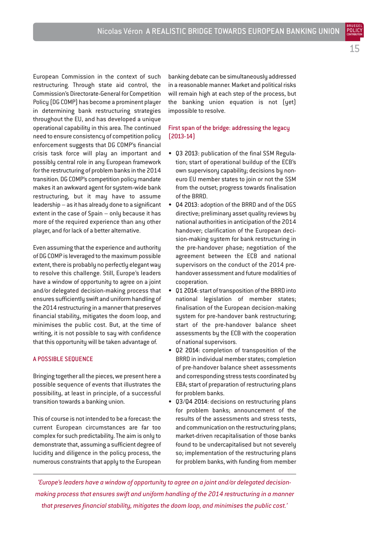European Commission in the context of such restructuring. Through state aid control, the Commission's Directorate-General for Competition Policy (DG COMP) has become a prominent player in determining bank restructuring strategies throughout the EU, and has developed a unique operational capability in this area. The continued need to ensure consistency of competition policy enforcement suggests that DG COMP's financial crisis task force will play an important and possibly central role in any European framework for the restructuring of problem banks in the 2014 transition. DG COMP's competition policy mandate makes it an awkward agent for system-wide bank restructuring, but it may have to assume leadership – as it has already done to a significant extent in the case of Spain – only because it has more of the required experience than any other player, and for lack of a better alternative.

Even assuming that the experience and authority of DG COMP is leveraged to the maximum possible extent, there is probably no perfectly elegant way to resolve this challenge. Still, Europe's leaders have a window of opportunity to agree on a joint and/or delegated decision-making process that ensures sufficiently swift and uniform handling of the 2014 restructuring in a manner that preserves financial stability, mitigates the doom loop, and minimises the public cost. But, at the time of writing, it is not possible to say with confidence that this opportunity will be taken advantage of.

#### A POSSIBLE SEQUENCE

Bringing together all the pieces, we present here a possible sequence of events that illustrates the possibility, at least in principle, of a successful transition towards a banking union.

This of course is not intended to be a forecast: the current European circumstances are far too complex for such predictability. The aim is only to demonstrate that, assuming a sufficient degree of lucidity and diligence in the policy process, the numerous constraints that apply to the European

banking debate can be simultaneously addressed in a reasonable manner. Market and political risks will remain high at each step of the process, but the banking union equation is not (yet) impossible to resolve.

#### First span of the bridge: addressing the legacy (2013-14)

- Q3 2013: publication of the final SSM Regulation; start of operational buildup of the ECB's own supervisory capability; decisions by noneuro EU member states to join or not the SSM from the outset; progress towards finalisation of the BRRD.
- Q4 2013: adoption of the BRRD and of the DGS directive; preliminary asset quality reviews by national authorities in anticipation of the 2014 handover; clarification of the European decision-making system for bank restructuring in the pre-handover phase; negotiation of the agreement between the ECB and national supervisors on the conduct of the 2014 prehandover assessment and future modalities of cooperation.
- Q1 2014: start of transposition of the BRRD into national legislation of member states; finalisation of the European decision-making system for pre-handover bank restructuring; start of the pre-handover balance sheet assessments by the ECB with the cooperation of national supervisors.
- Q2 2014: completion of transposition of the BRRD in individual member states; completion of pre-handover balance sheet assessments and corresponding stress tests coordinated by EBA; start of preparation of restructuring plans for problem banks.
- Q3/Q4 2014: decisions on restructuring plans for problem banks; announcement of the results of the assessments and stress tests, and communication on the restructuring plans; market-driven recapitalisation of those banks found to be undercapitalised but not severely so; implementation of the restructuring plans for problem banks, with funding from member

*'Europe's leaders have a window of opportunity to agree on a joint and/or delegated decisionmaking process that ensures swift and uniform handling of the 2014 restructuring in a manner that preserves financial stability, mitigates the doom loop, and minimises the public cost.'*

BRUEGEL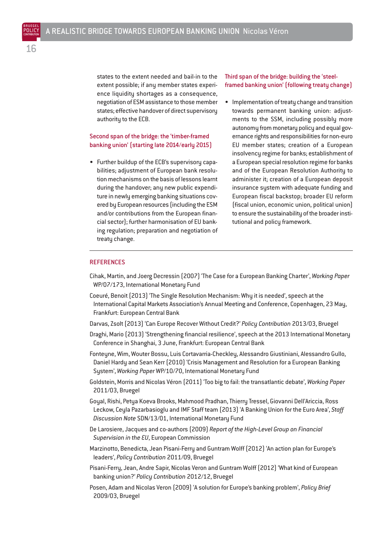states to the extent needed and bail-in to the extent possible; if any member states experience liquidity shortages as a consequence, negotiation of ESM assistance to those member states; effective handover of direct supervisory authority to the ECB.

#### Second span of the bridge: the 'timber-framed banking union' (starting late 2014/early 2015)

• Further buildup of the ECB's supervisory capabilities; adjustment of European bank resolution mechanisms on the basis of lessons learnt during the handover; any new public expenditure in newly emerging banking situations covered by European resources (including the ESM and/or contributions from the European financial sector); further harmonisation of EU banking regulation; preparation and negotiation of treaty change.

#### Third span of the bridge: building the 'steelframed banking union' (following treaty change)

• Implementation of treaty change and transition towards permanent banking union: adjustments to the SSM, including possibly more autonomy from monetary policy and equal governance rights and responsibilities for non-euro EU member states; creation of a European insolvency regime for banks; establishment of a European special resolution regime for banks and of the European Resolution Authority to administer it; creation of a European deposit insurance system with adequate funding and European fiscal backstop; broader EU reform (fiscal union, economic union, political union) to ensure the sustainability of the broader institutional and policy framework.

#### **REFERENCES**

- Cihak, Martin, and Joerg Decressin (2007) 'The Case for a European Banking Charter', *Working Paper* WP/07/173, International Monetary Fund
- Coeuré, Benoit (2013) 'The Single Resolution Mechanism: Why it is needed', speech at the International Capital Markets Association's Annual Meeting and Conference, Copenhagen, 23 May, Frankfurt: European Central Bank
- Darvas, Zsolt (2013) 'Can Europe Recover Without Credit?' *Policy Contribution* 2013/03, Bruegel
- Draghi, Mario (2013) 'Strengthening financial resilience', speech at the 2013 International Monetary Conference in Shanghai, 3 June, Frankfurt: European Central Bank
- Fonteyne, Wim, Wouter Bossu, Luis Cortavarria-Checkley, Alessandro Giustiniani, Alessandro Gullo, Daniel Hardy and Sean Kerr (2010) 'Crisis Management and Resolution for a European Banking System', *Working Paper* WP/10/70, International Monetary Fund
- Goldstein, Morris and Nicolas Véron (2011) 'Too big to fail: the transatlantic debate', *Working Paper* 2011/03, Bruegel
- Goyal, Rishi, Petya Koeva Brooks, Mahmood Pradhan, Thierry Tressel, Giovanni Dell'Ariccia, Ross Leckow, Ceyla Pazarbasioglu and IMF Staff team (2013) 'A Banking Union for the Euro Area', *Staff Discussion Note* SDN/13/01, International Monetary Fund
- De Larosiere, Jacques and co-authors (2009) *Report of the High-Level Group on Financial Supervision in the EU*, European Commission
- Marzinotto, Benedicta, Jean Pisani-Ferry and Guntram Wolff (2012) 'An action plan for Europe's leaders', *Policy Contribution* 2011/09, Bruegel
- Pisani-Ferry, Jean, Andre Sapir, Nicolas Veron and Guntram Wolff (2012) 'What kind of European banking union?' *Policy Contribution* 2012/12, Bruegel
- Posen, Adam and Nicolas Veron (2009) 'A solution for Europe's banking problem', *Policy Brief* 2009/03, Bruegel

BRUEGEL POLICY